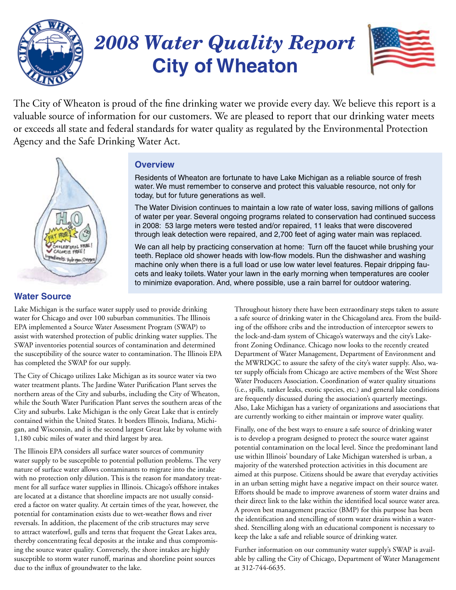

### *2008 Water Quality Report* **City of Wheaton**



The City of Wheaton is proud of the fine drinking water we provide every day. We believe this report is a valuable source of information for our customers. We are pleased to report that our drinking water meets or exceeds all state and federal standards for water quality as regulated by the Environmental Protection Agency and the Safe Drinking Water Act.



### **Overview**

Residents of Wheaton are fortunate to have Lake Michigan as a reliable source of fresh water. We must remember to conserve and protect this valuable resource, not only for today, but for future generations as well.

The Water Division continues to maintain a low rate of water loss, saving millions of gallons of water per year. Several ongoing programs related to conservation had continued success in 2008: 53 large meters were tested and/or repaired, 11 leaks that were discovered through leak detection were repaired, and 2,700 feet of aging water main was replaced.

We can all help by practicing conservation at home: Turn off the faucet while brushing your teeth. Replace old shower heads with low-flow models. Run the dishwasher and washing machine only when there is a full load or use low water level features. Repair dripping faucets and leaky toilets. Water your lawn in the early morning when temperatures are cooler to minimize evaporation. And, where possible, use a rain barrel for outdoor watering.

### **Water Source**

Lake Michigan is the surface water supply used to provide drinking water for Chicago and over 100 suburban communities. The Illinois EPA implemented a Source Water Assessment Program (SWAP) to assist with watershed protection of public drinking water supplies. The SWAP inventories potential sources of contamination and determined the susceptibility of the source water to contamination. The Illinois EPA has completed the SWAP for our supply.

The City of Chicago utilizes Lake Michigan as its source water via two water treatment plants. The Jardine Water Purification Plant serves the northern areas of the City and suburbs, including the City of Wheaton, while the South Water Purification Plant serves the southern areas of the City and suburbs. Lake Michigan is the only Great Lake that is entirely contained within the United States. It borders Illinois, Indiana, Michigan, and Wisconsin, and is the second largest Great lake by volume with 1,180 cubic miles of water and third largest by area.

The Illinois EPA considers all surface water sources of community water supply to be susceptible to potential pollution problems. The very nature of surface water allows contaminants to migrate into the intake with no protection only dilution. This is the reason for mandatory treatment for all surface water supplies in Illinois. Chicago's offshore intakes are located at a distance that shoreline impacts are not usually considered a factor on water quality. At certain times of the year, however, the potential for contamination exists due to wet-weather flows and river reversals. In addition, the placement of the crib structures may serve to attract waterfowl, gulls and terns that frequent the Great Lakes area, thereby concentrating fecal deposits at the intake and thus compromising the source water quality. Conversely, the shore intakes are highly susceptible to storm water runoff, marinas and shoreline point sources due to the influx of groundwater to the lake.

Throughout history there have been extraordinary steps taken to assure a safe source of drinking water in the Chicagoland area. From the building of the offshore cribs and the introduction of interceptor sewers to the lock-and-dam system of Chicago's waterways and the city's Lakefront Zoning Ordinance. Chicago now looks to the recently created Department of Water Management, Department of Environment and the MWRDGC to assure the safety of the city's water supply. Also, water supply officials from Chicago are active members of the West Shore Water Producers Association. Coordination of water quality situations (i.e., spills, tanker leaks, exotic species, etc.) and general lake conditions are frequently discussed during the association's quarterly meetings. Also, Lake Michigan has a variety of organizations and associations that are currently working to either maintain or improve water quality.

Finally, one of the best ways to ensure a safe source of drinking water is to develop a program designed to protect the source water against potential contamination on the local level. Since the predominant land use within Illinois' boundary of Lake Michigan watershed is urban, a majority of the watershed protection activities in this document are aimed at this purpose. Citizens should be aware that everyday activities in an urban setting might have a negative impact on their source water. Efforts should be made to improve awareness of storm water drains and their direct link to the lake within the identified local source water area. A proven best management practice (BMP) for this purpose has been the identification and stencilling of storm water drains within a watershed. Stencilling along with an educational component is necessary to keep the lake a safe and reliable source of drinking water.

Further information on our community water supply's SWAP is available by calling the City of Chicago, Department of Water Management at 312-744-6635.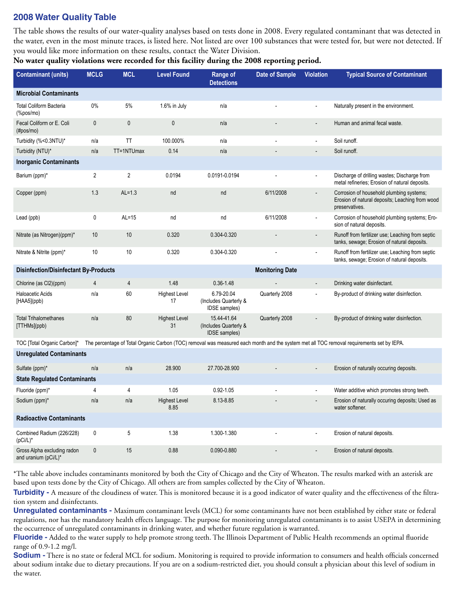### **2008 Water Quality Table**

The table shows the results of our water-quality analyses based on tests done in 2008. Every regulated contaminant that was detected in the water, even in the most minute traces, is listed here. Not listed are over 100 substances that were tested for, but were not detected. If you would like more information on these results, contact the Water Division.

**No water quality violations were recorded for this facility during the 2008 reporting period.**

| <b>Contaminant (units)</b>                                                                                                                                               | <b>MCLG</b>    | <b>MCL</b> | <b>Level Found</b>           | Range of<br><b>Detections</b>                         | <b>Date of Sample</b> | <b>Violation</b>         | <b>Typical Source of Contaminant</b>                                                                          |
|--------------------------------------------------------------------------------------------------------------------------------------------------------------------------|----------------|------------|------------------------------|-------------------------------------------------------|-----------------------|--------------------------|---------------------------------------------------------------------------------------------------------------|
| <b>Microbial Contaminants</b>                                                                                                                                            |                |            |                              |                                                       |                       |                          |                                                                                                               |
| <b>Total Coliform Bacteria</b><br>(%                                                                                                                                     | $0\%$          | 5%         | 1.6% in July                 | n/a                                                   |                       | $\blacksquare$           | Naturally present in the environment.                                                                         |
| Fecal Coliform or E. Coli<br>$(\text{\#pos/mo})$                                                                                                                         | $\pmb{0}$      | 0          | $\mathbf 0$                  | n/a                                                   |                       | $\overline{a}$           | Human and animal fecal waste.                                                                                 |
| Turbidity (%<0.3NTU)*                                                                                                                                                    | n/a            | TT         | 100.000%                     | n/a                                                   |                       | $\overline{\phantom{a}}$ | Soil runoff.                                                                                                  |
| Turbidity (NTU)*                                                                                                                                                         | n/a            | TT=1NTUmax | 0.14                         | n/a                                                   |                       | $\overline{a}$           | Soil runoff.                                                                                                  |
| <b>Inorganic Contaminants</b>                                                                                                                                            |                |            |                              |                                                       |                       |                          |                                                                                                               |
| Barium (ppm)*                                                                                                                                                            | $\overline{2}$ | 2          | 0.0194                       | 0.0191-0.0194                                         |                       |                          | Discharge of drilling wastes; Discharge from<br>metal refineries; Erosion of natural deposits.                |
| Copper (ppm)                                                                                                                                                             | 1.3            | $AL=1.3$   | nd                           | nd                                                    | 6/11/2008             |                          | Corrosion of household plumbing systems;<br>Erosion of natural deposits; Leaching from wood<br>preservatives. |
| Lead (ppb)                                                                                                                                                               | 0              | $AL=15$    | nd                           | nd                                                    | 6/11/2008             | ÷,                       | Corrosion of household plumbing systems; Ero-<br>sion of natural deposits.                                    |
| Nitrate (as Nitrogen)(ppm)*                                                                                                                                              | 10             | 10         | 0.320                        | 0.304-0.320                                           |                       | $\overline{\phantom{a}}$ | Runoff from fertilizer use; Leaching from septic<br>tanks, sewage; Erosion of natural deposits.               |
| Nitrate & Nitrite (ppm)*                                                                                                                                                 | 10             | 10         | 0.320                        | 0.304-0.320                                           |                       | ÷,                       | Runoff from fertilizer use; Leaching from septic<br>tanks, sewage; Erosion of natural deposits.               |
| <b>Monitoring Date</b><br><b>Disinfection/Disinfectant By-Products</b>                                                                                                   |                |            |                              |                                                       |                       |                          |                                                                                                               |
| Chlorine (as Cl2)(ppm)                                                                                                                                                   | 4              | 4          | 1.48                         | $0.36 - 1.48$                                         |                       | $\overline{\phantom{a}}$ | Drinking water disinfectant.                                                                                  |
| Haloacetic Acids<br>[HAA5](ppb)                                                                                                                                          | n/a            | 60         | <b>Highest Level</b><br>17   | 6.79-20.04<br>(Includes Quarterly &<br>IDSE samples)  | Quarterly 2008        | $\overline{\phantom{a}}$ | By-product of drinking water disinfection.                                                                    |
| <b>Total Trihalomethanes</b><br>[TTHMs](ppb)                                                                                                                             | n/a            | 80         | <b>Highest Level</b><br>31   | 15.44-41.64<br>(Includes Quarterly &<br>IDSE samples) | Quarterly 2008        |                          | By-product of drinking water disinfection.                                                                    |
| TOC [Total Organic Carbon]*<br>The percentage of Total Organic Carbon (TOC) removal was measured each month and the system met all TOC removal requirements set by IEPA. |                |            |                              |                                                       |                       |                          |                                                                                                               |
| <b>Unregulated Contaminants</b>                                                                                                                                          |                |            |                              |                                                       |                       |                          |                                                                                                               |
| Sulfate (ppm)*                                                                                                                                                           | n/a            | n/a        | 28.900                       | 27.700-28.900                                         |                       |                          | Erosion of naturally occuring deposits.                                                                       |
| <b>State Regulated Contaminants</b>                                                                                                                                      |                |            |                              |                                                       |                       |                          |                                                                                                               |
| Fluoride (ppm)*                                                                                                                                                          | 4              | 4          | 1.05                         | $0.92 - 1.05$                                         |                       |                          | Water additive which promotes strong teeth.                                                                   |
| Sodium (ppm)*                                                                                                                                                            | n/a            | n/a        | <b>Highest Level</b><br>8.85 | 8.13-8.85                                             |                       |                          | Erosion of naturally occuring deposits; Used as<br>water softener.                                            |
| <b>Radioactive Contaminants</b>                                                                                                                                          |                |            |                              |                                                       |                       |                          |                                                                                                               |
| Combined Radium (226/228)<br>(pCi/L)*                                                                                                                                    | 0              | 5          | 1.38                         | 1.300-1.380                                           |                       |                          | Erosion of natural deposits.                                                                                  |
| Gross Alpha excluding radon<br>and uranium (pCi/L)*                                                                                                                      | $\pmb{0}$      | 15         | 0.88                         | 0.090-0.880                                           |                       |                          | Erosion of natural deposits.                                                                                  |

\*The table above includes contaminants monitored by both the City of Chicago and the City of Wheaton. The results marked with an asterisk are based upon tests done by the City of Chicago. All others are from samples collected by the City of Wheaton.

Turbidity - A measure of the cloudiness of water. This is monitored because it is a good indicator of water quality and the effectiveness of the filtration system and disinfectants.

**Unregulated contaminants -** Maximum contaminant levels (MCL) for some contaminants have not been established by either state or federal regulations, nor has the mandatory health effects language. The purpose for monitoring unregulated contaminants is to assist USEPA in determining the occurrence of unregulated contaminants in drinking water, and whether future regulation is warranted.

**Fluoride -** Added to the water supply to help promote strong teeth. The Illinois Department of Public Health recommends an optimal fluoride range of 0.9-1.2 mg/l.

**Sodium -** There is no state or federal MCL for sodium. Monitoring is required to provide information to consumers and health officials concerned about sodium intake due to dietary precautions. If you are on a sodium-restricted diet, you should consult a physician about this level of sodium in the water.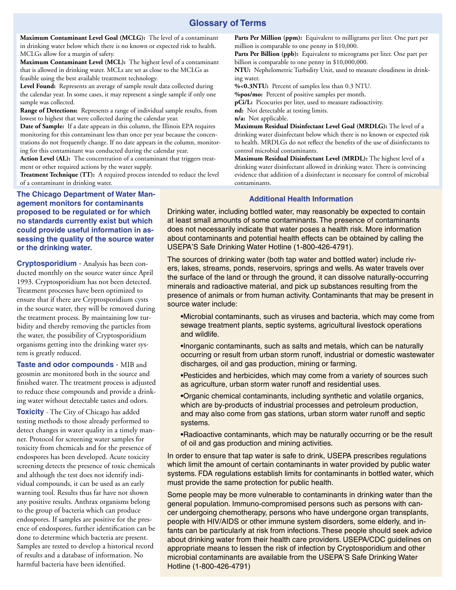### **Glossary of Terms**

**Maximum Contaminant Level Goal (MCLG):** The level of a contaminant in drinking water below which there is no known or expected risk to health. MCLGs allow for a margin of safety.

**Maximum Contaminant Level (MCL):** The highest level of a contaminant that is allowed in drinking water. MCLs are set as close to the MCLGs as feasible using the best available treatment technology.

**Level Found:** Represents an average of sample result data collected during the calendar year. In some cases, it may represent a single sample if only one sample was collected.

**Range of Detections:** Represents a range of individual sample results, from lowest to highest that were collected during the calendar year.

**Date of Sample:** If a date appears in this column, the Illinois EPA requires monitoring for this contaminant less than once per year because the concentrations do not frequently change. If no date appears in the column, monitoring for this contaminant was conducted during the calendar year.

**Action Level (AL):** The concentration of a contaminant that triggers treatment or other required actions by the water supply.

**Treatment Technique (TT):** A required process intended to reduce the level of a contaminant in drinking water.

Parts Per Million (ppm): Equivalent to milligrams per liter. One part per million is comparable to one penny in \$10,000.

Parts Per Billion (ppb): Equivalent to micrograms per liter. One part per billion is comparable to one penny in \$10,000,000.

**NTU:** Nephelometric Turbidity Unit, used to measure cloudiness in drinking water.

**%<0.3NTU:** Percent of samples less than 0.3 NTU.

**%pos/mo:** Percent of positive samples per month.

**pCi/L:** Picocuries per liter, used to measure radioactivity.

**nd:** Not detectable at testing limits.

**n/a:** Not applicable.

**Maximum Residual Disinfectant Level Goal (MRDLG):** The level of a drinking water disinfectant below which there is no known or expected risk to health. MRDLGs do not reflect the benefits of the use of disinfectants to control microbial contaminants.

**Maximum Residual Disinfectant Level (MRDL):** The highest level of a drinking water disinfectant allowed in drinking water. There is convincing evidence that addition of a disinfectant is necessary for control of microbial contaminants.

#### **Additional Health Information**

**The Chicago Department of Water Management monitors for contaminants proposed to be regulated or for which no standards currently exist but which could provide useful information in assessing the quality of the source water or the drinking water.**

**Cryptosporidium** - Analysis has been conducted monthly on the source water since April 1993. Cryptosporidium has not been detected. Treatment processes have been optimized to ensure that if there are Cryptosporidium cysts in the source water, they will be removed during the treatment process. By maintaining low turbidity and thereby removing the particles from the water, the possibility of Cryptosporidium organisms getting into the drinking water system is greatly reduced.

**Taste and odor compounds** - MIB and geosmin are monitored both in the source and finished water. The treatment process is adjusted to reduce these compounds and provide a drinking water without detectable tastes and odors.

**Toxicity** - The City of Chicago has added testing methods to those already performed to detect changes in water quality in a timely manner. Protocol for screening water samples for toxicity from chemicals and for the presence of endospores has been developed. Acute toxicity screening detects the presence of toxic chemicals and although the test does not identify individual compounds, it can be used as an early warning tool. Results thus far have not shown any positive results. Anthrax organisms belong to the group of bacteria which can produce endospores. If samples are positive for the presence of endospores, further identification can be done to determine which bacteria are present. Samples are tested to develop a historical record of results and a database of information. No harmful bacteria have been identified.

Drinking water, including bottled water, may reasonably be expected to contain at least small amounts of some contaminants. The presence of contaminants does not necessarily indicate that water poses a health risk. More information about contaminants and potential health effects can be obtained by calling the USEPA'S Safe Drinking Water Hotline (1-800-426-4791).

The sources of drinking water (both tap water and bottled water) include rivers, lakes, streams, ponds, reservoirs, springs and wells. As water travels over the surface of the land or through the ground, it can dissolve naturally-occurring minerals and radioactive material, and pick up substances resulting from the presence of animals or from human activity. Contaminants that may be present in source water include:

•Microbial contaminants, such as viruses and bacteria, which may come from sewage treatment plants, septic systems, agricultural livestock operations and wildlife.

•Inorganic contaminants, such as salts and metals, which can be naturally occurring or result from urban storm runoff, industrial or domestic wastewater discharges, oil and gas production, mining or farming.

•Pesticides and herbicides, which may come from a variety of sources such as agriculture, urban storm water runoff and residential uses.

•Organic chemical contaminants, including synthetic and volatile organics, which are by-products of industrial processes and petroleum production, and may also come from gas stations, urban storm water runoff and septic systems.

•Radioactive contaminants, which may be naturally occurring or be the result of oil and gas production and mining activities.

In order to ensure that tap water is safe to drink, USEPA prescribes regulations which limit the amount of certain contaminants in water provided by public water systems. FDA regulations establish limits for contaminants in bottled water, which must provide the same protection for public health.

Some people may be more vulnerable to contaminants in drinking water than the general population. Immuno-compromised persons such as persons with cancer undergoing chemotherapy, persons who have undergone organ transplants, people with HIV/AIDS or other immune system disorders, some elderly, and infants can be particularly at risk from infections. These people should seek advice about drinking water from their health care providers. USEPA/CDC guidelines on appropriate means to lessen the risk of infection by Cryptosporidium and other microbial contaminants are available from the USEPA'S Safe Drinking Water Hotline (1-800-426-4791)